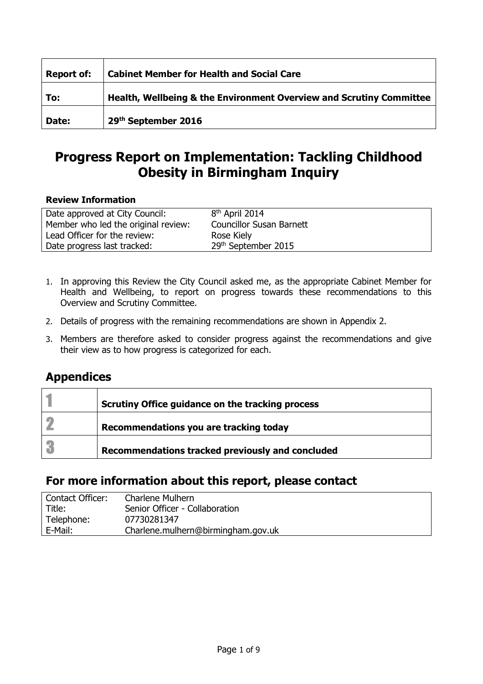| <b>Report of:</b> | <b>Cabinet Member for Health and Social Care</b>                    |
|-------------------|---------------------------------------------------------------------|
| To:               | Health, Wellbeing & the Environment Overview and Scrutiny Committee |
| Date:             | 29th September 2016                                                 |

### **Progress Report on Implementation: Tackling Childhood Obesity in Birmingham Inquiry**

#### **Review Information**

| Date approved at City Council:      | 8 <sup>th</sup> April 2014      |
|-------------------------------------|---------------------------------|
| Member who led the original review: | <b>Councillor Susan Barnett</b> |
| Lead Officer for the review:        | Rose Kiely                      |
| Date progress last tracked:         | 29 <sup>th</sup> September 2015 |

- 1. In approving this Review the City Council asked me, as the appropriate Cabinet Member for Health and Wellbeing, to report on progress towards these recommendations to this Overview and Scrutiny Committee.
- 2. Details of progress with the remaining recommendations are shown in Appendix 2.
- 3. Members are therefore asked to consider progress against the recommendations and give their view as to how progress is categorized for each.

### **Appendices**

| Scrutiny Office guidance on the tracking process |
|--------------------------------------------------|
| Recommendations you are tracking today           |
| Recommendations tracked previously and concluded |

### **For more information about this report, please contact**

| Contact Officer: | Charlene Mulhern                   |
|------------------|------------------------------------|
| Title:           | Senior Officer - Collaboration     |
| Telephone:       | 07730281347                        |
| E-Mail:          | Charlene.mulhern@birmingham.gov.uk |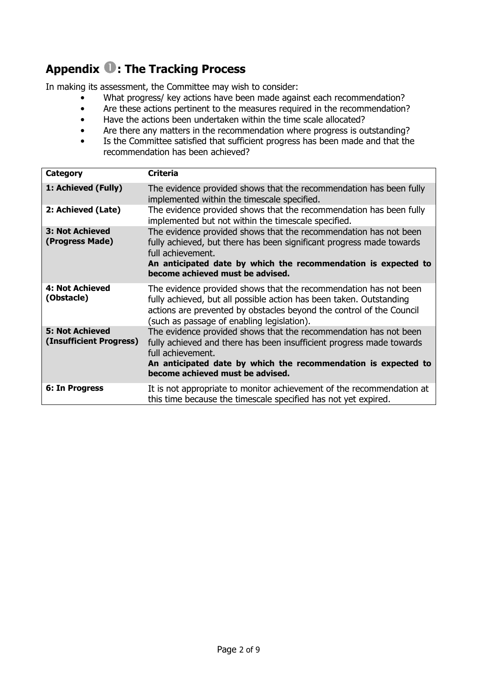## **Appendix : The Tracking Process**

In making its assessment, the Committee may wish to consider:

- What progress/ key actions have been made against each recommendation?
- Are these actions pertinent to the measures required in the recommendation?
- Have the actions been undertaken within the time scale allocated?
- Are there any matters in the recommendation where progress is outstanding?
- Is the Committee satisfied that sufficient progress has been made and that the recommendation has been achieved?

| <b>Category</b>                                   | <b>Criteria</b>                                                                                                                                                                                                                                                     |
|---------------------------------------------------|---------------------------------------------------------------------------------------------------------------------------------------------------------------------------------------------------------------------------------------------------------------------|
| 1: Achieved (Fully)                               | The evidence provided shows that the recommendation has been fully<br>implemented within the timescale specified.                                                                                                                                                   |
| 2: Achieved (Late)                                | The evidence provided shows that the recommendation has been fully<br>implemented but not within the timescale specified.                                                                                                                                           |
| <b>3: Not Achieved</b><br>(Progress Made)         | The evidence provided shows that the recommendation has not been<br>fully achieved, but there has been significant progress made towards<br>full achievement.<br>An anticipated date by which the recommendation is expected to<br>become achieved must be advised. |
| 4: Not Achieved<br>(Obstacle)                     | The evidence provided shows that the recommendation has not been<br>fully achieved, but all possible action has been taken. Outstanding<br>actions are prevented by obstacles beyond the control of the Council<br>(such as passage of enabling legislation).       |
| <b>5: Not Achieved</b><br>(Insufficient Progress) | The evidence provided shows that the recommendation has not been<br>fully achieved and there has been insufficient progress made towards<br>full achievement.<br>An anticipated date by which the recommendation is expected to<br>become achieved must be advised. |
| 6: In Progress                                    | It is not appropriate to monitor achievement of the recommendation at<br>this time because the timescale specified has not yet expired.                                                                                                                             |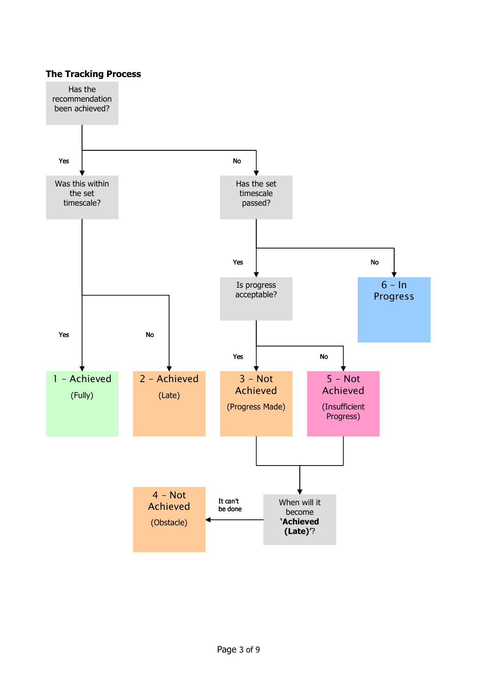### **The Tracking Process**

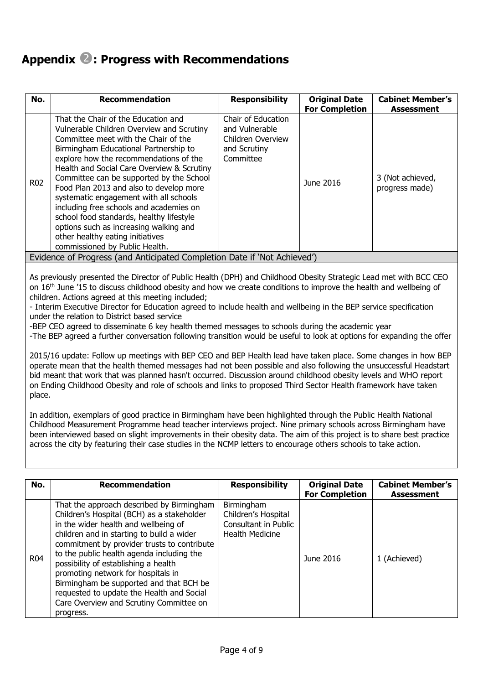# **Appendix 2: Progress with Recommendations**

|            |                                                                                                                                                                                                                                                                                                                                                                                                                                                                                                                                                                                                                                                                                                                                                                                                                                                                                                                                                                                                                                                                                                                                                                             |                                                                                        | <b>For Completion</b>                         | <b>Assessment</b>                            |  |
|------------|-----------------------------------------------------------------------------------------------------------------------------------------------------------------------------------------------------------------------------------------------------------------------------------------------------------------------------------------------------------------------------------------------------------------------------------------------------------------------------------------------------------------------------------------------------------------------------------------------------------------------------------------------------------------------------------------------------------------------------------------------------------------------------------------------------------------------------------------------------------------------------------------------------------------------------------------------------------------------------------------------------------------------------------------------------------------------------------------------------------------------------------------------------------------------------|----------------------------------------------------------------------------------------|-----------------------------------------------|----------------------------------------------|--|
| <b>R02</b> | That the Chair of the Education and<br>Vulnerable Children Overview and Scrutiny<br>Committee meet with the Chair of the<br>Birmingham Educational Partnership to<br>explore how the recommendations of the<br>Health and Social Care Overview & Scrutiny<br>Committee can be supported by the School<br>Food Plan 2013 and also to develop more<br>systematic engagement with all schools<br>including free schools and academies on<br>school food standards, healthy lifestyle<br>options such as increasing walking and<br>other healthy eating initiatives<br>commissioned by Public Health.                                                                                                                                                                                                                                                                                                                                                                                                                                                                                                                                                                           | Chair of Education<br>and Vulnerable<br>Children Overview<br>and Scrutiny<br>Committee | June 2016                                     | 3 (Not achieved,<br>progress made)           |  |
|            | Evidence of Progress (and Anticipated Completion Date if 'Not Achieved')                                                                                                                                                                                                                                                                                                                                                                                                                                                                                                                                                                                                                                                                                                                                                                                                                                                                                                                                                                                                                                                                                                    |                                                                                        |                                               |                                              |  |
| place.     | As previously presented the Director of Public Health (DPH) and Childhood Obesity Strategic Lead met with BCC CEO<br>on $16th$ June '15 to discuss childhood obesity and how we create conditions to improve the health and wellbeing of<br>children. Actions agreed at this meeting included;<br>- Interim Executive Director for Education agreed to include health and wellbeing in the BEP service specification<br>under the relation to District based service<br>-BEP CEO agreed to disseminate 6 key health themed messages to schools during the academic year<br>-The BEP agreed a further conversation following transition would be useful to look at options for expanding the offer<br>2015/16 update: Follow up meetings with BEP CEO and BEP Health lead have taken place. Some changes in how BEP<br>operate mean that the health themed messages had not been possible and also following the unsuccessful Headstart<br>bid meant that work that was planned hasn't occurred. Discussion around childhood obesity levels and WHO report<br>on Ending Childhood Obesity and role of schools and links to proposed Third Sector Health framework have taken |                                                                                        |                                               |                                              |  |
|            | In addition, exemplars of good practice in Birmingham have been highlighted through the Public Health National<br>Childhood Measurement Programme head teacher interviews project. Nine primary schools across Birmingham have<br>been interviewed based on slight improvements in their obesity data. The aim of this project is to share best practice<br>across the city by featuring their case studies in the NCMP letters to encourage others schools to take action.                                                                                                                                                                                                                                                                                                                                                                                                                                                                                                                                                                                                                                                                                                 |                                                                                        |                                               |                                              |  |
|            |                                                                                                                                                                                                                                                                                                                                                                                                                                                                                                                                                                                                                                                                                                                                                                                                                                                                                                                                                                                                                                                                                                                                                                             |                                                                                        |                                               |                                              |  |
| No.        | <b>Recommendation</b>                                                                                                                                                                                                                                                                                                                                                                                                                                                                                                                                                                                                                                                                                                                                                                                                                                                                                                                                                                                                                                                                                                                                                       | <b>Responsibility</b>                                                                  | <b>Original Date</b><br><b>For Completion</b> | <b>Cabinet Member's</b><br><b>Assessment</b> |  |
| <b>R04</b> | That the approach described by Birmingham<br>Children's Hospital (BCH) as a stakeholder<br>in the wider health and wellbeing of<br>children and in starting to build a wider<br>commitment by provider trusts to contribute<br>to the public health agenda including the<br>possibility of establishing a health<br>promoting network for hospitals in<br>Birmingham be supported and that BCH be<br>requested to update the Health and Social<br>Care Overview and Scrutiny Committee on<br>progress.                                                                                                                                                                                                                                                                                                                                                                                                                                                                                                                                                                                                                                                                      | Birmingham<br>Children's Hospital<br>Consultant in Public<br><b>Health Medicine</b>    | June 2016                                     | 1 (Achieved)                                 |  |

**No. Recommendation Responsibility Original Date Cabinet Member's**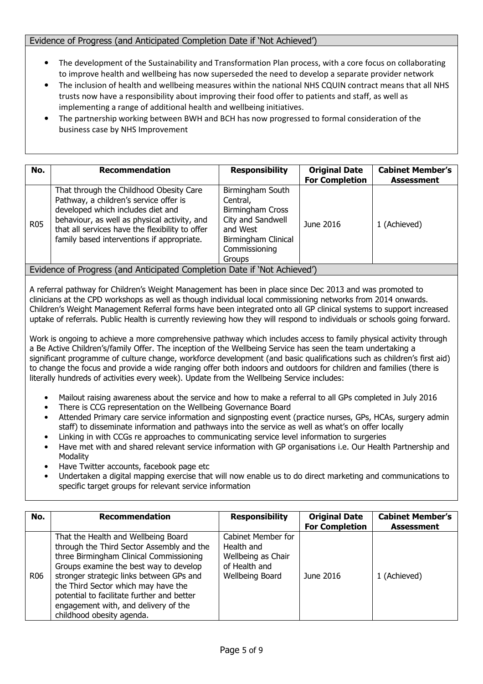#### Evidence of Progress (and Anticipated Completion Date if 'Not Achieved')

- The development of the Sustainability and Transformation Plan process, with a core focus on collaborating to improve health and wellbeing has now superseded the need to develop a separate provider network
- The inclusion of health and wellbeing measures within the national NHS CQUIN contract means that all NHS trusts now have a responsibility about improving their food offer to patients and staff, as well as implementing a range of additional health and wellbeing initiatives.
- The partnership working between BWH and BCH has now progressed to formal consideration of the business case by NHS Improvement

| No.                                                                      | <b>Recommendation</b>                                                                                                                                                                                                                                                   | <b>Responsibility</b>                                                                                                               | <b>Original Date</b><br><b>For Completion</b> | <b>Cabinet Member's</b><br><b>Assessment</b> |  |
|--------------------------------------------------------------------------|-------------------------------------------------------------------------------------------------------------------------------------------------------------------------------------------------------------------------------------------------------------------------|-------------------------------------------------------------------------------------------------------------------------------------|-----------------------------------------------|----------------------------------------------|--|
| <b>R05</b>                                                               | That through the Childhood Obesity Care<br>Pathway, a children's service offer is<br>developed which includes diet and<br>behaviour, as well as physical activity, and<br>that all services have the flexibility to offer<br>family based interventions if appropriate. | Birmingham South<br>Central,<br>Birmingham Cross<br>City and Sandwell<br>and West<br>Birmingham Clinical<br>Commissioning<br>Groups | June 2016                                     | 1 (Achieved)                                 |  |
| Evidence of Progress (and Anticipated Completion Date if 'Not Achieved') |                                                                                                                                                                                                                                                                         |                                                                                                                                     |                                               |                                              |  |

A referral pathway for Children's Weight Management has been in place since Dec 2013 and was promoted to clinicians at the CPD workshops as well as though individual local commissioning networks from 2014 onwards. Children's Weight Management Referral forms have been integrated onto all GP clinical systems to support increased uptake of referrals. Public Health is currently reviewing how they will respond to individuals or schools going forward.

Work is ongoing to achieve a more comprehensive pathway which includes access to family physical activity through a Be Active Children's/family Offer. The inception of the Wellbeing Service has seen the team undertaking a significant programme of culture change, workforce development (and basic qualifications such as children's first aid) to change the focus and provide a wide ranging offer both indoors and outdoors for children and families (there is literally hundreds of activities every week). Update from the Wellbeing Service includes:

- Mailout raising awareness about the service and how to make a referral to all GPs completed in July 2016
- There is CCG representation on the Wellbeing Governance Board
- Attended Primary care service information and signposting event (practice nurses, GPs, HCAs, surgery admin staff) to disseminate information and pathways into the service as well as what's on offer locally
- Linking in with CCGs re approaches to communicating service level information to surgeries
- Have met with and shared relevant service information with GP organisations i.e. Our Health Partnership and Modality
- Have Twitter accounts, facebook page etc
- Undertaken a digital mapping exercise that will now enable us to do direct marketing and communications to specific target groups for relevant service information

| No.             | <b>Recommendation</b>                                                                                                                                                                                                                                                                                                                                                       | <b>Responsibility</b>                                                                      | <b>Original Date</b><br><b>For Completion</b> | <b>Cabinet Member's</b><br><b>Assessment</b> |
|-----------------|-----------------------------------------------------------------------------------------------------------------------------------------------------------------------------------------------------------------------------------------------------------------------------------------------------------------------------------------------------------------------------|--------------------------------------------------------------------------------------------|-----------------------------------------------|----------------------------------------------|
| R <sub>06</sub> | That the Health and Wellbeing Board<br>through the Third Sector Assembly and the<br>three Birmingham Clinical Commissioning<br>Groups examine the best way to develop<br>stronger strategic links between GPs and<br>the Third Sector which may have the<br>potential to facilitate further and better<br>engagement with, and delivery of the<br>childhood obesity agenda. | Cabinet Member for<br>Health and<br>Wellbeing as Chair<br>of Health and<br>Wellbeing Board | June 2016                                     | 1 (Achieved)                                 |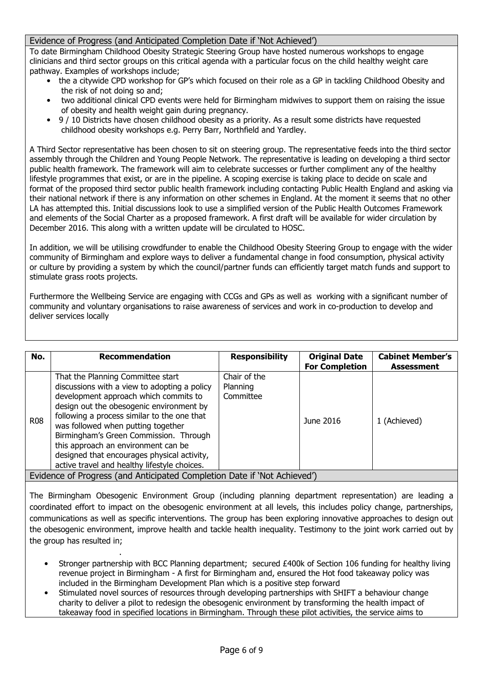#### Evidence of Progress (and Anticipated Completion Date if 'Not Achieved')

To date Birmingham Childhood Obesity Strategic Steering Group have hosted numerous workshops to engage clinicians and third sector groups on this critical agenda with a particular focus on the child healthy weight care pathway. Examples of workshops include;

- the a citywide CPD workshop for GP's which focused on their role as a GP in tackling Childhood Obesity and the risk of not doing so and;
- two additional clinical CPD events were held for Birmingham midwives to support them on raising the issue of obesity and health weight gain during pregnancy.
- 9 / 10 Districts have chosen childhood obesity as a priority. As a result some districts have requested childhood obesity workshops e.g. Perry Barr, Northfield and Yardley.

A Third Sector representative has been chosen to sit on steering group. The representative feeds into the third sector assembly through the Children and Young People Network. The representative is leading on developing a third sector public health framework. The framework will aim to celebrate successes or further compliment any of the healthy lifestyle programmes that exist, or are in the pipeline. A scoping exercise is taking place to decide on scale and format of the proposed third sector public health framework including contacting Public Health England and asking via their national network if there is any information on other schemes in England. At the moment it seems that no other LA has attempted this. Initial discussions look to use a simplified version of the Public Health Outcomes Framework and elements of the Social Charter as a proposed framework. A first draft will be available for wider circulation by December 2016. This along with a written update will be circulated to HOSC.

In addition, we will be utilising crowdfunder to enable the Childhood Obesity Steering Group to engage with the wider community of Birmingham and explore ways to deliver a fundamental change in food consumption, physical activity or culture by providing a system by which the council/partner funds can efficiently target match funds and support to stimulate grass roots projects.

Furthermore the Wellbeing Service are engaging with CCGs and GPs as well as working with a significant number of community and voluntary organisations to raise awareness of services and work in co-production to develop and deliver services locally

| No.                                                                      | <b>Recommendation</b>                                                                                                                                                                                                                                                                                                                                                                                                                       | <b>Responsibility</b>                 | <b>Original Date</b><br><b>For Completion</b> | <b>Cabinet Member's</b><br><b>Assessment</b> |  |
|--------------------------------------------------------------------------|---------------------------------------------------------------------------------------------------------------------------------------------------------------------------------------------------------------------------------------------------------------------------------------------------------------------------------------------------------------------------------------------------------------------------------------------|---------------------------------------|-----------------------------------------------|----------------------------------------------|--|
| <b>R08</b>                                                               | That the Planning Committee start<br>discussions with a view to adopting a policy<br>development approach which commits to<br>design out the obesogenic environment by<br>following a process similar to the one that<br>was followed when putting together<br>Birmingham's Green Commission. Through<br>this approach an environment can be<br>designed that encourages physical activity,<br>active travel and healthy lifestyle choices. | Chair of the<br>Planning<br>Committee | June 2016                                     | 1 (Achieved)                                 |  |
| Evidence of Progress (and Anticipated Completion Date if 'Not Achieved') |                                                                                                                                                                                                                                                                                                                                                                                                                                             |                                       |                                               |                                              |  |

The Birmingham Obesogenic Environment Group (including planning department representation) are leading a coordinated effort to impact on the obesogenic environment at all levels, this includes policy change, partnerships, communications as well as specific interventions. The group has been exploring innovative approaches to design out the obesogenic environment, improve health and tackle health inequality. Testimony to the joint work carried out by the group has resulted in;

- Stronger partnership with BCC Planning department; secured £400k of Section 106 funding for healthy living revenue project in Birmingham - A first for Birmingham and, ensured the Hot food takeaway policy was included in the Birmingham Development Plan which is a positive step forward
- Stimulated novel sources of resources through developing partnerships with SHIFT a behaviour change charity to deliver a pilot to redesign the obesogenic environment by transforming the health impact of takeaway food in specified locations in Birmingham. Through these pilot activities, the service aims to

.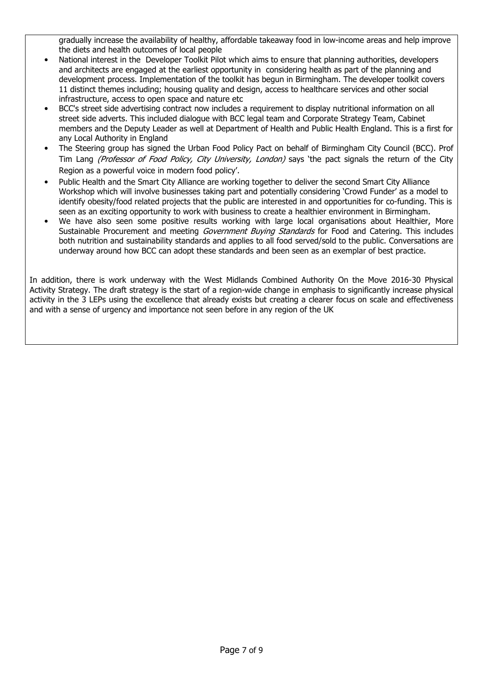gradually increase the availability of healthy, affordable takeaway food in low-income areas and help improve the diets and health outcomes of local people

- National interest in the Developer Toolkit Pilot which aims to ensure that planning authorities, developers and architects are engaged at the earliest opportunity in considering health as part of the planning and development process. Implementation of the toolkit has begun in Birmingham. The developer toolkit covers 11 distinct themes including; housing quality and design, access to healthcare services and other social infrastructure, access to open space and nature etc
- BCC's street side advertising contract now includes a requirement to display nutritional information on all street side adverts. This included dialogue with BCC legal team and Corporate Strategy Team, Cabinet members and the Deputy Leader as well at Department of Health and Public Health England. This is a first for any Local Authority in England
- The Steering group has signed the Urban Food Policy Pact on behalf of Birmingham City Council (BCC). Prof Tim Lang (Professor of Food Policy, City University, London) says 'the pact signals the return of the City Region as a powerful voice in modern food policy'.
- Public Health and the Smart City Alliance are working together to deliver the second Smart City Alliance Workshop which will involve businesses taking part and potentially considering 'Crowd Funder' as a model to identify obesity/food related projects that the public are interested in and opportunities for co-funding. This is seen as an exciting opportunity to work with business to create a healthier environment in Birmingham.
- We have also seen some positive results working with large local organisations about Healthier, More Sustainable Procurement and meeting Government Buying Standards for Food and Catering. This includes both nutrition and sustainability standards and applies to all food served/sold to the public. Conversations are underway around how BCC can adopt these standards and been seen as an exemplar of best practice.

In addition, there is work underway with the West Midlands Combined Authority On the Move 2016-30 Physical Activity Strategy. The draft strategy is the start of a region-wide change in emphasis to significantly increase physical activity in the 3 LEPs using the excellence that already exists but creating a clearer focus on scale and effectiveness and with a sense of urgency and importance not seen before in any region of the UK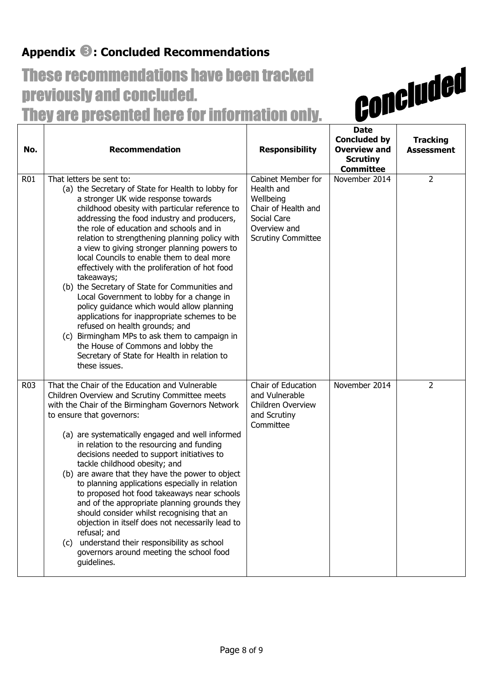## **Appendix : Concluded Recommendations**

## These recommendations have been tracked previously and concluded. They are presented here for information only.

| No.        | <b>Recommendation</b>                                                                                                                                                                                                                                                                                                                                                                                                                                                                                                                                                                                                                                                                                                                                                                                                                                                     | <b>Responsibility</b>                                                                                                                   | <b>Date</b><br><b>Concluded by</b><br><b>Overview and</b><br><b>Scrutiny</b><br><b>Committee</b> | <b>Tracking</b><br><b>Assessment</b> |
|------------|---------------------------------------------------------------------------------------------------------------------------------------------------------------------------------------------------------------------------------------------------------------------------------------------------------------------------------------------------------------------------------------------------------------------------------------------------------------------------------------------------------------------------------------------------------------------------------------------------------------------------------------------------------------------------------------------------------------------------------------------------------------------------------------------------------------------------------------------------------------------------|-----------------------------------------------------------------------------------------------------------------------------------------|--------------------------------------------------------------------------------------------------|--------------------------------------|
| <b>R01</b> | That letters be sent to:<br>(a) the Secretary of State for Health to lobby for<br>a stronger UK wide response towards<br>childhood obesity with particular reference to<br>addressing the food industry and producers,<br>the role of education and schools and in<br>relation to strengthening planning policy with<br>a view to giving stronger planning powers to<br>local Councils to enable them to deal more<br>effectively with the proliferation of hot food<br>takeaways;<br>(b) the Secretary of State for Communities and<br>Local Government to lobby for a change in<br>policy guidance which would allow planning<br>applications for inappropriate schemes to be<br>refused on health grounds; and<br>(c) Birmingham MPs to ask them to campaign in<br>the House of Commons and lobby the<br>Secretary of State for Health in relation to<br>these issues. | <b>Cabinet Member for</b><br>Health and<br>Wellbeing<br>Chair of Health and<br>Social Care<br>Overview and<br><b>Scrutiny Committee</b> | November 2014                                                                                    | $\overline{2}$                       |
| <b>R03</b> | That the Chair of the Education and Vulnerable<br>Children Overview and Scrutiny Committee meets<br>with the Chair of the Birmingham Governors Network<br>to ensure that governors:<br>(a) are systematically engaged and well informed<br>in relation to the resourcing and funding<br>decisions needed to support initiatives to<br>tackle childhood obesity; and<br>(b) are aware that they have the power to object<br>to planning applications especially in relation<br>to proposed hot food takeaways near schools<br>and of the appropriate planning grounds they<br>should consider whilst recognising that an<br>objection in itself does not necessarily lead to<br>refusal; and<br>understand their responsibility as school<br>(c)<br>governors around meeting the school food<br>guidelines.                                                                | Chair of Education<br>and Vulnerable<br>Children Overview<br>and Scrutiny<br>Committee                                                  | November 2014                                                                                    | $\overline{2}$                       |